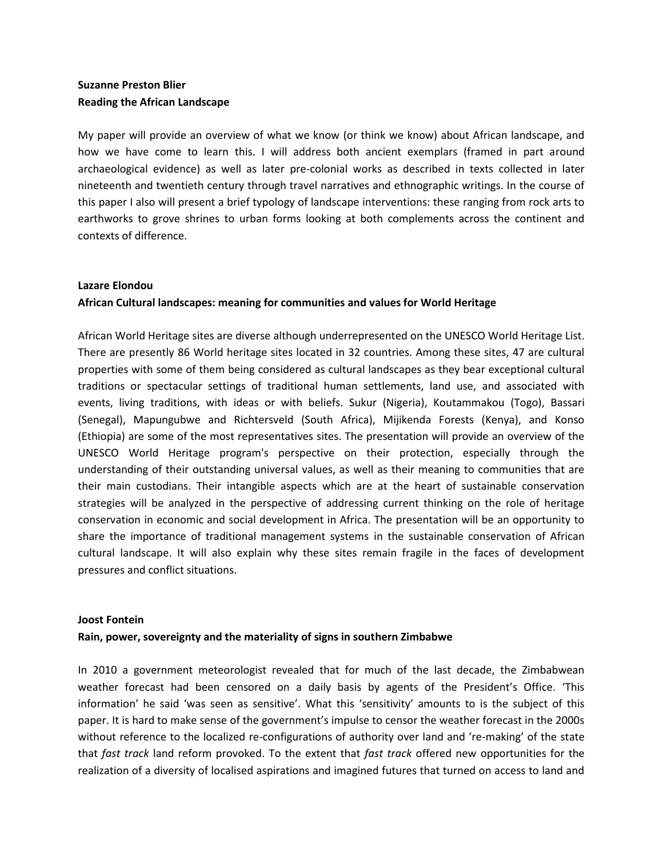# **Suzanne Preston Blier Reading the African Landscape**

My paper will provide an overview of what we know (or think we know) about African landscape, and how we have come to learn this. I will address both ancient exemplars (framed in part around archaeological evidence) as well as later pre-colonial works as described in texts collected in later nineteenth and twentieth century through travel narratives and ethnographic writings. In the course of this paper I also will present a brief typology of landscape interventions: these ranging from rock arts to earthworks to grove shrines to urban forms looking at both complements across the continent and contexts of difference.

## **Lazare Elondou**

# **African Cultural landscapes: meaning for communities and values for World Heritage**

African World Heritage sites are diverse although underrepresented on the UNESCO World Heritage List. There are presently 86 World heritage sites located in 32 countries. Among these sites, 47 are cultural properties with some of them being considered as cultural landscapes as they bear exceptional cultural traditions or spectacular settings of traditional human settlements, land use, and associated with events, living traditions, with ideas or with beliefs. Sukur (Nigeria), Koutammakou (Togo), Bassari (Senegal), Mapungubwe and Richtersveld (South Africa), Mijikenda Forests (Kenya), and Konso (Ethiopia) are some of the most representatives sites. The presentation will provide an overview of the UNESCO World Heritage program's perspective on their protection, especially through the understanding of their outstanding universal values, as well as their meaning to communities that are their main custodians. Their intangible aspects which are at the heart of sustainable conservation strategies will be analyzed in the perspective of addressing current thinking on the role of heritage conservation in economic and social development in Africa. The presentation will be an opportunity to share the importance of traditional management systems in the sustainable conservation of African cultural landscape. It will also explain why these sites remain fragile in the faces of development pressures and conflict situations.

### **Joost Fontein**

# **Rain, power, sovereignty and the materiality of signs in southern Zimbabwe**

In 2010 a government meteorologist revealed that for much of the last decade, the Zimbabwean weather forecast had been censored on a daily basis by agents of the President's Office. 'This information' he said 'was seen as sensitive'. What this 'sensitivity' amounts to is the subject of this paper. It is hard to make sense of the government's impulse to censor the weather forecast in the 2000s without reference to the localized re-configurations of authority over land and 're-making' of the state that *fast track* land reform provoked. To the extent that *fast track* offered new opportunities for the realization of a diversity of localised aspirations and imagined futures that turned on access to land and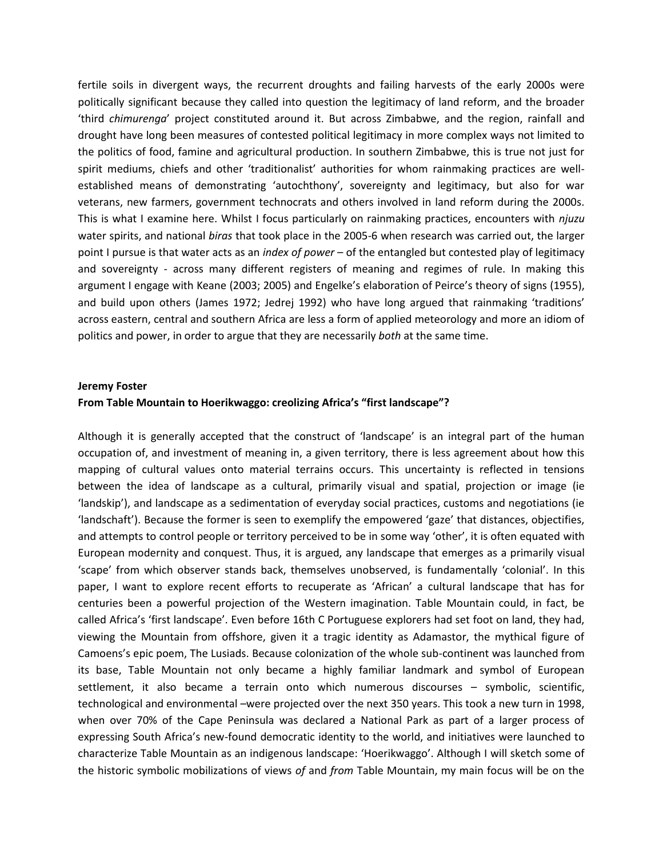fertile soils in divergent ways, the recurrent droughts and failing harvests of the early 2000s were politically significant because they called into question the legitimacy of land reform, and the broader 'third *chimurenga*' project constituted around it. But across Zimbabwe, and the region, rainfall and drought have long been measures of contested political legitimacy in more complex ways not limited to the politics of food, famine and agricultural production. In southern Zimbabwe, this is true not just for spirit mediums, chiefs and other 'traditionalist' authorities for whom rainmaking practices are wellestablished means of demonstrating 'autochthony', sovereignty and legitimacy, but also for war veterans, new farmers, government technocrats and others involved in land reform during the 2000s. This is what I examine here. Whilst I focus particularly on rainmaking practices, encounters with *njuzu*  water spirits, and national *biras* that took place in the 2005-6 when research was carried out, the larger point I pursue is that water acts as an *index of power* – of the entangled but contested play of legitimacy and sovereignty - across many different registers of meaning and regimes of rule. In making this argument I engage with Keane (2003; 2005) and Engelke's elaboration of Peirce's theory of signs (1955), and build upon others (James 1972; Jedrej 1992) who have long argued that rainmaking 'traditions' across eastern, central and southern Africa are less a form of applied meteorology and more an idiom of politics and power, in order to argue that they are necessarily *both* at the same time.

#### **Jeremy Foster**

#### **From Table Mountain to Hoerikwaggo: creolizing Africa's "first landscape"?**

Although it is generally accepted that the construct of 'landscape' is an integral part of the human occupation of, and investment of meaning in, a given territory, there is less agreement about how this mapping of cultural values onto material terrains occurs. This uncertainty is reflected in tensions between the idea of landscape as a cultural, primarily visual and spatial, projection or image (ie 'landskip'), and landscape as a sedimentation of everyday social practices, customs and negotiations (ie 'landschaft'). Because the former is seen to exemplify the empowered 'gaze' that distances, objectifies, and attempts to control people or territory perceived to be in some way 'other', it is often equated with European modernity and conquest. Thus, it is argued, any landscape that emerges as a primarily visual 'scape' from which observer stands back, themselves unobserved, is fundamentally 'colonial'. In this paper, I want to explore recent efforts to recuperate as 'African' a cultural landscape that has for centuries been a powerful projection of the Western imagination. Table Mountain could, in fact, be called Africa's 'first landscape'. Even before 16th C Portuguese explorers had set foot on land, they had, viewing the Mountain from offshore, given it a tragic identity as Adamastor, the mythical figure of Camoens's epic poem, The Lusiads. Because colonization of the whole sub-continent was launched from its base, Table Mountain not only became a highly familiar landmark and symbol of European settlement, it also became a terrain onto which numerous discourses – symbolic, scientific, technological and environmental –were projected over the next 350 years. This took a new turn in 1998, when over 70% of the Cape Peninsula was declared a National Park as part of a larger process of expressing South Africa's new-found democratic identity to the world, and initiatives were launched to characterize Table Mountain as an indigenous landscape: 'Hoerikwaggo'. Although I will sketch some of the historic symbolic mobilizations of views *of* and *from* Table Mountain, my main focus will be on the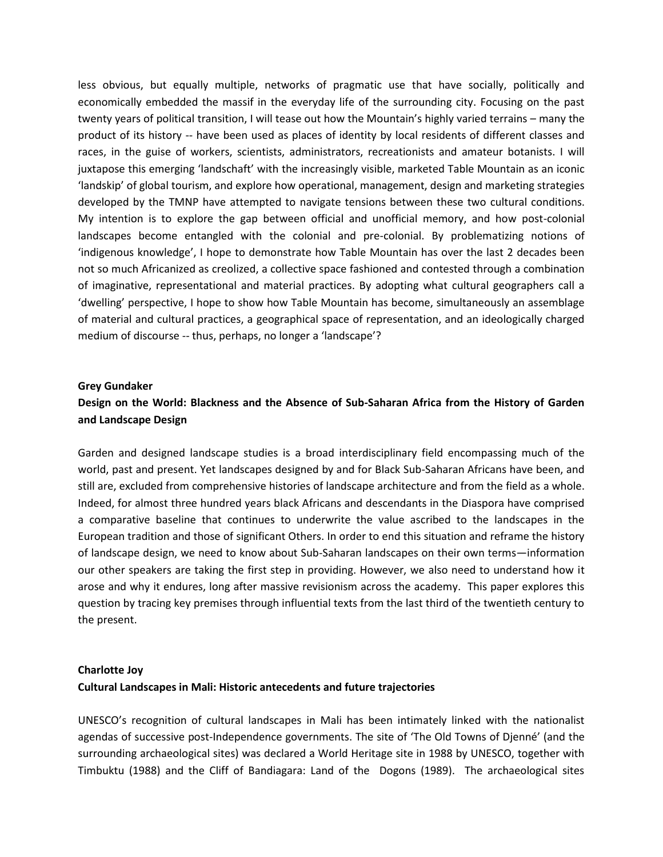less obvious, but equally multiple, networks of pragmatic use that have socially, politically and economically embedded the massif in the everyday life of the surrounding city. Focusing on the past twenty years of political transition, I will tease out how the Mountain's highly varied terrains – many the product of its history -- have been used as places of identity by local residents of different classes and races, in the guise of workers, scientists, administrators, recreationists and amateur botanists. I will juxtapose this emerging 'landschaft' with the increasingly visible, marketed Table Mountain as an iconic 'landskip' of global tourism, and explore how operational, management, design and marketing strategies developed by the TMNP have attempted to navigate tensions between these two cultural conditions. My intention is to explore the gap between official and unofficial memory, and how post-colonial landscapes become entangled with the colonial and pre-colonial. By problematizing notions of 'indigenous knowledge', I hope to demonstrate how Table Mountain has over the last 2 decades been not so much Africanized as creolized, a collective space fashioned and contested through a combination of imaginative, representational and material practices. By adopting what cultural geographers call a 'dwelling' perspective, I hope to show how Table Mountain has become, simultaneously an assemblage of material and cultural practices, a geographical space of representation, and an ideologically charged medium of discourse -- thus, perhaps, no longer a 'landscape'?

### **Grey Gundaker**

# **Design on the World: Blackness and the Absence of Sub-Saharan Africa from the History of Garden and Landscape Design**

Garden and designed landscape studies is a broad interdisciplinary field encompassing much of the world, past and present. Yet landscapes designed by and for Black Sub-Saharan Africans have been, and still are, excluded from comprehensive histories of landscape architecture and from the field as a whole. Indeed, for almost three hundred years black Africans and descendants in the Diaspora have comprised a comparative baseline that continues to underwrite the value ascribed to the landscapes in the European tradition and those of significant Others. In order to end this situation and reframe the history of landscape design, we need to know about Sub-Saharan landscapes on their own terms—information our other speakers are taking the first step in providing. However, we also need to understand how it arose and why it endures, long after massive revisionism across the academy. This paper explores this question by tracing key premises through influential texts from the last third of the twentieth century to the present.

# **Charlotte Joy Cultural Landscapes in Mali: Historic antecedents and future trajectories**

UNESCO's recognition of cultural landscapes in Mali has been intimately linked with the nationalist agendas of successive post-Independence governments. The site of 'The Old Towns of Djenné' (and the surrounding archaeological sites) was declared a World Heritage site in 1988 by UNESCO, together with Timbuktu (1988) and the Cliff of Bandiagara: Land of the Dogons (1989). The archaeological sites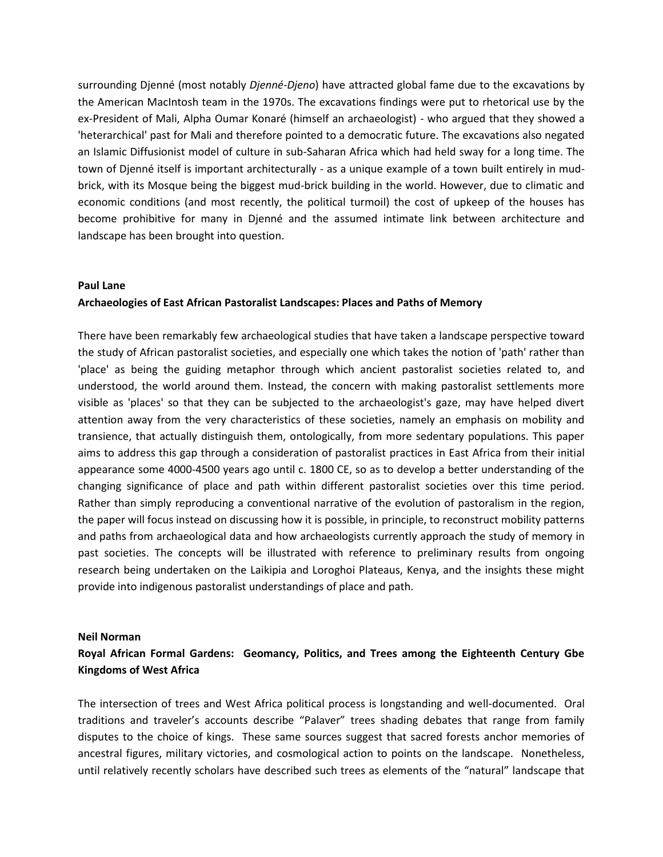surrounding Djenné (most notably *Djenné-Djeno*) have attracted global fame due to the excavations by the American MacIntosh team in the 1970s. The excavations findings were put to rhetorical use by the ex-President of Mali, Alpha Oumar Konaré (himself an archaeologist) - who argued that they showed a 'heterarchical' past for Mali and therefore pointed to a democratic future. The excavations also negated an Islamic Diffusionist model of culture in sub-Saharan Africa which had held sway for a long time. The town of Djenné itself is important architecturally - as a unique example of a town built entirely in mudbrick, with its Mosque being the biggest mud-brick building in the world. However, due to climatic and economic conditions (and most recently, the political turmoil) the cost of upkeep of the houses has become prohibitive for many in Djenné and the assumed intimate link between architecture and landscape has been brought into question.

### **Paul Lane**

### **Archaeologies of East African Pastoralist Landscapes: Places and Paths of Memory**

There have been remarkably few archaeological studies that have taken a landscape perspective toward the study of African pastoralist societies, and especially one which takes the notion of 'path' rather than 'place' as being the guiding metaphor through which ancient pastoralist societies related to, and understood, the world around them. Instead, the concern with making pastoralist settlements more visible as 'places' so that they can be subjected to the archaeologist's gaze, may have helped divert attention away from the very characteristics of these societies, namely an emphasis on mobility and transience, that actually distinguish them, ontologically, from more sedentary populations. This paper aims to address this gap through a consideration of pastoralist practices in East Africa from their initial appearance some 4000-4500 years ago until c. 1800 CE, so as to develop a better understanding of the changing significance of place and path within different pastoralist societies over this time period. Rather than simply reproducing a conventional narrative of the evolution of pastoralism in the region, the paper will focus instead on discussing how it is possible, in principle, to reconstruct mobility patterns and paths from archaeological data and how archaeologists currently approach the study of memory in past societies. The concepts will be illustrated with reference to preliminary results from ongoing research being undertaken on the Laikipia and Loroghoi Plateaus, Kenya, and the insights these might provide into indigenous pastoralist understandings of place and path.

#### **Neil Norman**

# **Royal African Formal Gardens: Geomancy, Politics, and Trees among the Eighteenth Century Gbe Kingdoms of West Africa**

The intersection of trees and West Africa political process is longstanding and well-documented. Oral traditions and traveler's accounts describe "Palaver" trees shading debates that range from family disputes to the choice of kings. These same sources suggest that sacred forests anchor memories of ancestral figures, military victories, and cosmological action to points on the landscape. Nonetheless, until relatively recently scholars have described such trees as elements of the "natural" landscape that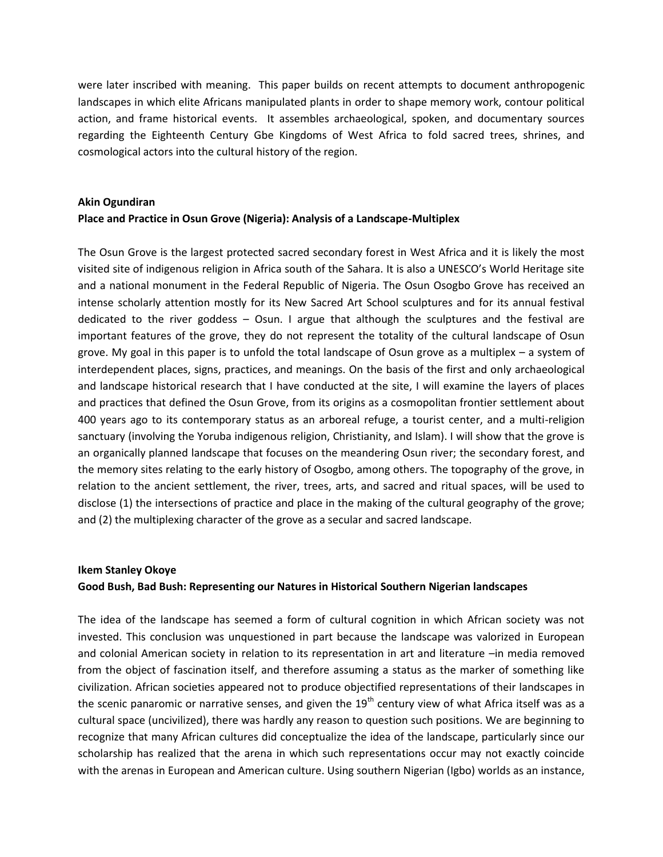were later inscribed with meaning. This paper builds on recent attempts to document anthropogenic landscapes in which elite Africans manipulated plants in order to shape memory work, contour political action, and frame historical events. It assembles archaeological, spoken, and documentary sources regarding the Eighteenth Century Gbe Kingdoms of West Africa to fold sacred trees, shrines, and cosmological actors into the cultural history of the region.

# **Akin Ogundiran Place and Practice in Osun Grove (Nigeria): Analysis of a Landscape-Multiplex**

The Osun Grove is the largest protected sacred secondary forest in West Africa and it is likely the most visited site of indigenous religion in Africa south of the Sahara. It is also a UNESCO's World Heritage site and a national monument in the Federal Republic of Nigeria. The Osun Osogbo Grove has received an intense scholarly attention mostly for its New Sacred Art School sculptures and for its annual festival dedicated to the river goddess – Osun. I argue that although the sculptures and the festival are important features of the grove, they do not represent the totality of the cultural landscape of Osun grove. My goal in this paper is to unfold the total landscape of Osun grove as a multiplex – a system of interdependent places, signs, practices, and meanings. On the basis of the first and only archaeological and landscape historical research that I have conducted at the site, I will examine the layers of places and practices that defined the Osun Grove, from its origins as a cosmopolitan frontier settlement about 400 years ago to its contemporary status as an arboreal refuge, a tourist center, and a multi-religion sanctuary (involving the Yoruba indigenous religion, Christianity, and Islam). I will show that the grove is an organically planned landscape that focuses on the meandering Osun river; the secondary forest, and the memory sites relating to the early history of Osogbo, among others. The topography of the grove, in relation to the ancient settlement, the river, trees, arts, and sacred and ritual spaces, will be used to disclose (1) the intersections of practice and place in the making of the cultural geography of the grove; and (2) the multiplexing character of the grove as a secular and sacred landscape.

# **Ikem Stanley Okoye Good Bush, Bad Bush: Representing our Natures in Historical Southern Nigerian landscapes**

The idea of the landscape has seemed a form of cultural cognition in which African society was not invested. This conclusion was unquestioned in part because the landscape was valorized in European and colonial American society in relation to its representation in art and literature -in media removed from the object of fascination itself, and therefore assuming a status as the marker of something like civilization. African societies appeared not to produce objectified representations of their landscapes in the scenic panaromic or narrative senses, and given the  $19<sup>th</sup>$  century view of what Africa itself was as a cultural space (uncivilized), there was hardly any reason to question such positions. We are beginning to recognize that many African cultures did conceptualize the idea of the landscape, particularly since our scholarship has realized that the arena in which such representations occur may not exactly coincide with the arenas in European and American culture. Using southern Nigerian (Igbo) worlds as an instance,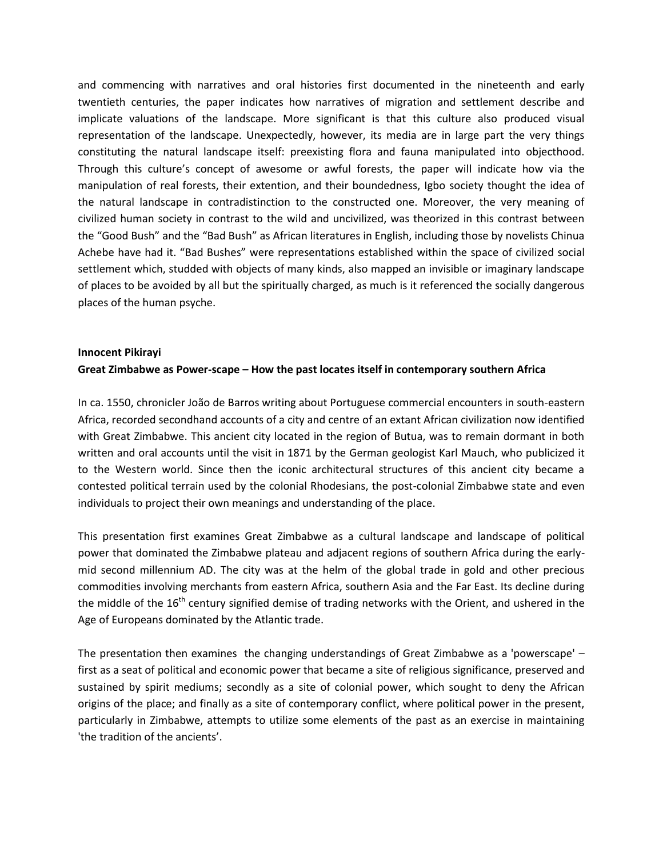and commencing with narratives and oral histories first documented in the nineteenth and early twentieth centuries, the paper indicates how narratives of migration and settlement describe and implicate valuations of the landscape. More significant is that this culture also produced visual representation of the landscape. Unexpectedly, however, its media are in large part the very things constituting the natural landscape itself: preexisting flora and fauna manipulated into objecthood. Through this culture's concept of awesome or awful forests, the paper will indicate how via the manipulation of real forests, their extention, and their boundedness, Igbo society thought the idea of the natural landscape in contradistinction to the constructed one. Moreover, the very meaning of civilized human society in contrast to the wild and uncivilized, was theorized in this contrast between the "Good Bush" and the "Bad Bush" as African literatures in English, including those by novelists Chinua Achebe have had it. "Bad Bushes" were representations established within the space of civilized social settlement which, studded with objects of many kinds, also mapped an invisible or imaginary landscape of places to be avoided by all but the spiritually charged, as much is it referenced the socially dangerous places of the human psyche.

# **Innocent Pikirayi Great Zimbabwe as Power-scape – How the past locates itself in contemporary southern Africa**

In ca. 1550, chronicler João de Barros writing about Portuguese commercial encounters in south-eastern Africa, recorded secondhand accounts of a city and centre of an extant African civilization now identified with Great Zimbabwe. This ancient city located in the region of Butua, was to remain dormant in both written and oral accounts until the visit in 1871 by the German geologist Karl Mauch, who publicized it to the Western world. Since then the iconic architectural structures of this ancient city became a contested political terrain used by the colonial Rhodesians, the post-colonial Zimbabwe state and even individuals to project their own meanings and understanding of the place.

This presentation first examines Great Zimbabwe as a cultural landscape and landscape of political power that dominated the Zimbabwe plateau and adjacent regions of southern Africa during the earlymid second millennium AD. The city was at the helm of the global trade in gold and other precious commodities involving merchants from eastern Africa, southern Asia and the Far East. Its decline during the middle of the 16<sup>th</sup> century signified demise of trading networks with the Orient, and ushered in the Age of Europeans dominated by the Atlantic trade.

The presentation then examines the changing understandings of Great Zimbabwe as a 'powerscape' – first as a seat of political and economic power that became a site of religious significance, preserved and sustained by spirit mediums; secondly as a site of colonial power, which sought to deny the African origins of the place; and finally as a site of contemporary conflict, where political power in the present, particularly in Zimbabwe, attempts to utilize some elements of the past as an exercise in maintaining 'the tradition of the ancients'.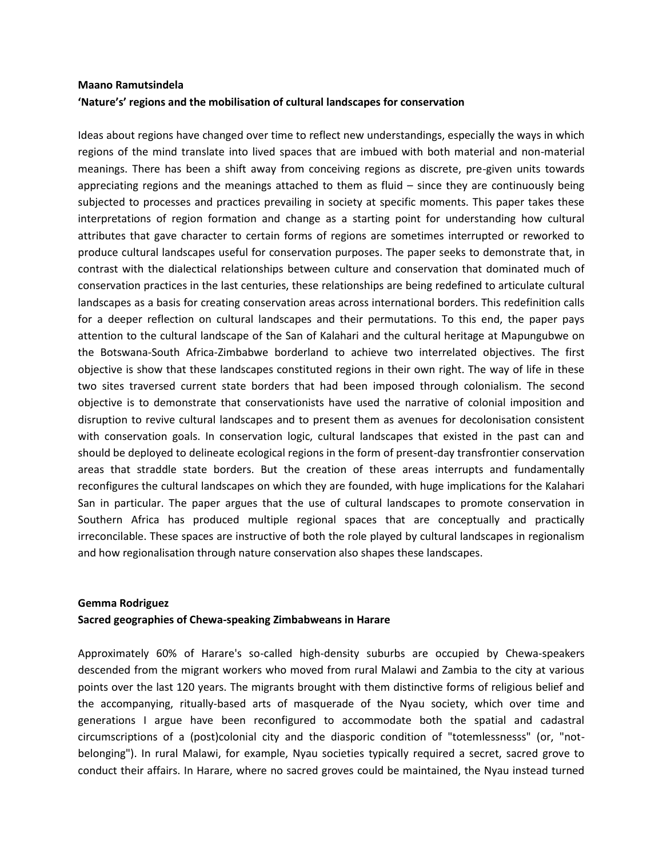# **Maano Ramutsindela 'Nature's' regions and the mobilisation of cultural landscapes for conservation**

Ideas about regions have changed over time to reflect new understandings, especially the ways in which regions of the mind translate into lived spaces that are imbued with both material and non-material meanings. There has been a shift away from conceiving regions as discrete, pre-given units towards appreciating regions and the meanings attached to them as fluid  $-$  since they are continuously being subjected to processes and practices prevailing in society at specific moments. This paper takes these interpretations of region formation and change as a starting point for understanding how cultural attributes that gave character to certain forms of regions are sometimes interrupted or reworked to produce cultural landscapes useful for conservation purposes. The paper seeks to demonstrate that, in contrast with the dialectical relationships between culture and conservation that dominated much of conservation practices in the last centuries, these relationships are being redefined to articulate cultural landscapes as a basis for creating conservation areas across international borders. This redefinition calls for a deeper reflection on cultural landscapes and their permutations. To this end, the paper pays attention to the cultural landscape of the San of Kalahari and the cultural heritage at Mapungubwe on the Botswana-South Africa-Zimbabwe borderland to achieve two interrelated objectives. The first objective is show that these landscapes constituted regions in their own right. The way of life in these two sites traversed current state borders that had been imposed through colonialism. The second objective is to demonstrate that conservationists have used the narrative of colonial imposition and disruption to revive cultural landscapes and to present them as avenues for decolonisation consistent with conservation goals. In conservation logic, cultural landscapes that existed in the past can and should be deployed to delineate ecological regions in the form of present-day transfrontier conservation areas that straddle state borders. But the creation of these areas interrupts and fundamentally reconfigures the cultural landscapes on which they are founded, with huge implications for the Kalahari San in particular. The paper argues that the use of cultural landscapes to promote conservation in Southern Africa has produced multiple regional spaces that are conceptually and practically irreconcilable. These spaces are instructive of both the role played by cultural landscapes in regionalism and how regionalisation through nature conservation also shapes these landscapes.

### **Gemma Rodriguez**

### **Sacred geographies of Chewa-speaking Zimbabweans in Harare**

Approximately 60% of Harare's so-called high-density suburbs are occupied by Chewa-speakers descended from the migrant workers who moved from rural Malawi and Zambia to the city at various points over the last 120 years. The migrants brought with them distinctive forms of religious belief and the accompanying, ritually-based arts of masquerade of the Nyau society, which over time and generations I argue have been reconfigured to accommodate both the spatial and cadastral circumscriptions of a (post)colonial city and the diasporic condition of "totemlessnesss" (or, "notbelonging"). In rural Malawi, for example, Nyau societies typically required a secret, sacred grove to conduct their affairs. In Harare, where no sacred groves could be maintained, the Nyau instead turned